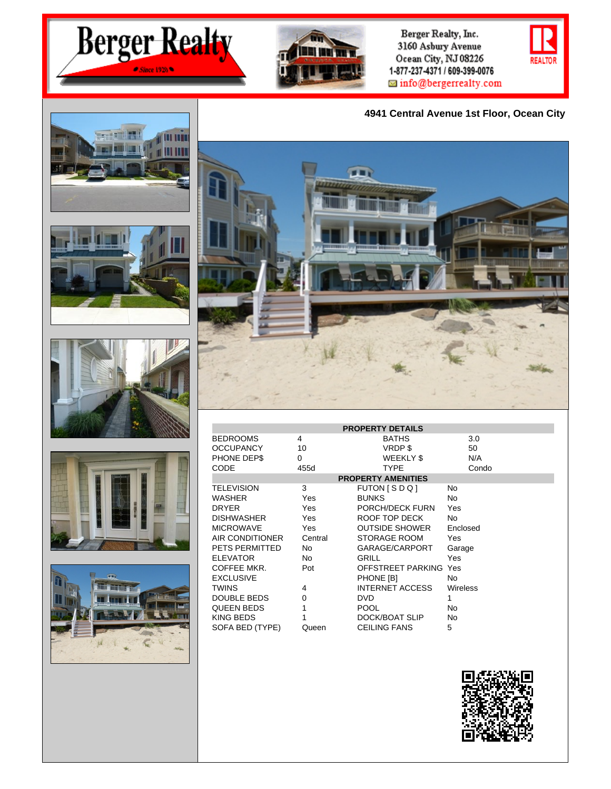



Berger Realty, Inc. 3160 Asbury Avenue Ocean City, NJ 08226 1-877-237-4371 / 609-399-0076  $\blacksquare$  info@bergerrealty.com

## **4941 Central Avenue 1st Floor, Ocean City**













| <b>PROPERTY DETAILS</b>   |            |                        |                 |  |  |  |
|---------------------------|------------|------------------------|-----------------|--|--|--|
| <b>BEDROOMS</b>           | 4          | <b>BATHS</b>           | 3.0             |  |  |  |
| <b>OCCUPANCY</b>          | 10         | VRDP\$                 | 50              |  |  |  |
| PHONE DEP\$               | 0          | WEEKLY \$              | N/A             |  |  |  |
| CODE                      | 455d       | <b>TYPE</b>            | Condo           |  |  |  |
| <b>PROPERTY AMENITIES</b> |            |                        |                 |  |  |  |
| <b>TELEVISION</b>         | 3          | FUTON [SDQ]            | No              |  |  |  |
| WASHER                    | Yes        | <b>BUNKS</b>           | No              |  |  |  |
| <b>DRYER</b>              | Yes        | PORCH/DECK FURN        | Yes             |  |  |  |
| <b>DISHWASHER</b>         | <b>Yes</b> | ROOF TOP DECK          | No              |  |  |  |
| <b>MICROWAVE</b>          | Yes.       | OUTSIDE SHOWER         | Enclosed        |  |  |  |
| AIR CONDITIONER           | Central    | STORAGE ROOM           | Yes             |  |  |  |
| PETS PERMITTED            | No.        | GARAGE/CARPORT         | Garage          |  |  |  |
| <b>ELEVATOR</b>           | No.        | GRILL                  | Yes             |  |  |  |
| COFFEE MKR.               | Pot        | OFFSTREET PARKING Yes  |                 |  |  |  |
| <b>EXCLUSIVE</b>          |            | PHONE [B]              | No              |  |  |  |
| <b>TWINS</b>              | 4          | <b>INTERNET ACCESS</b> | <b>Wireless</b> |  |  |  |
| DOUBLE BEDS               | $\Omega$   | <b>DVD</b>             | 1               |  |  |  |
| <b>QUEEN BEDS</b>         | 1          | <b>POOL</b>            | No              |  |  |  |
| <b>KING BEDS</b>          |            | DOCK/BOAT SLIP         | No              |  |  |  |
| SOFA BED (TYPE)           | Queen      | <b>CEILING FANS</b>    | 5               |  |  |  |